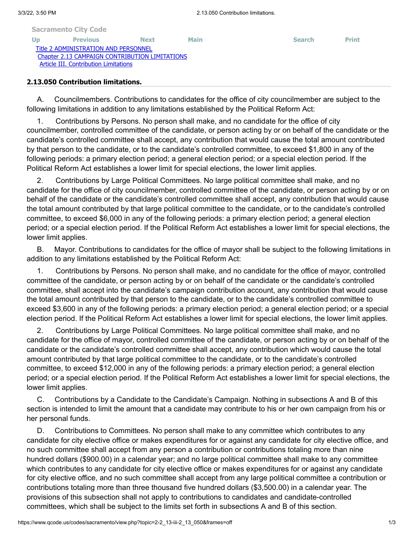|     | <b>Sacramento City Code</b>                    |             |             |               |              |
|-----|------------------------------------------------|-------------|-------------|---------------|--------------|
| Up. | <b>Previous</b>                                | <b>Next</b> | <b>Main</b> | <b>Search</b> | <b>Print</b> |
|     | Title 2 ADMINISTRATION AND PERSONNEL           |             |             |               |              |
|     | Chapter 2.13 CAMPAIGN CONTRIBUTION LIMITATIONS |             |             |               |              |
|     | Article III. Contribution Limitations          |             |             |               |              |

## **2.13.050 Contribution limitations.**

A. Councilmembers. Contributions to candidates for the office of city councilmember are subject to the following limitations in addition to any limitations established by the Political Reform Act:

1. Contributions by Persons. No person shall make, and no candidate for the office of city councilmember, controlled committee of the candidate, or person acting by or on behalf of the candidate or the candidate's controlled committee shall accept, any contribution that would cause the total amount contributed by that person to the candidate, or to the candidate's controlled committee, to exceed \$1,800 in any of the following periods: a primary election period; a general election period; or a special election period. If the Political Reform Act establishes a lower limit for special elections, the lower limit applies.

2. Contributions by Large Political Committees. No large political committee shall make, and no candidate for the office of city councilmember, controlled committee of the candidate, or person acting by or on behalf of the candidate or the candidate's controlled committee shall accept, any contribution that would cause the total amount contributed by that large political committee to the candidate, or to the candidate's controlled committee, to exceed \$6,000 in any of the following periods: a primary election period; a general election period; or a special election period. If the Political Reform Act establishes a lower limit for special elections, the lower limit applies.

B. Mayor. Contributions to candidates for the office of mayor shall be subject to the following limitations in addition to any limitations established by the Political Reform Act:

1. Contributions by Persons. No person shall make, and no candidate for the office of mayor, controlled committee of the candidate, or person acting by or on behalf of the candidate or the candidate's controlled committee, shall accept into the candidate's campaign contribution account, any contribution that would cause the total amount contributed by that person to the candidate, or to the candidate's controlled committee to exceed \$3,600 in any of the following periods: a primary election period; a general election period; or a special election period. If the Political Reform Act establishes a lower limit for special elections, the lower limit applies.

2. Contributions by Large Political Committees. No large political committee shall make, and no candidate for the office of mayor, controlled committee of the candidate, or person acting by or on behalf of the candidate or the candidate's controlled committee shall accept, any contribution which would cause the total amount contributed by that large political committee to the candidate, or to the candidate's controlled committee, to exceed \$12,000 in any of the following periods: a primary election period; a general election period; or a special election period. If the Political Reform Act establishes a lower limit for special elections, the lower limit applies.

C. Contributions by a Candidate to the Candidate's Campaign. Nothing in subsections A and B of this section is intended to limit the amount that a candidate may contribute to his or her own campaign from his or her personal funds.

D. Contributions to Committees. No person shall make to any committee which contributes to any candidate for city elective office or makes expenditures for or against any candidate for city elective office, and no such committee shall accept from any person a contribution or contributions totaling more than nine hundred dollars (\$900.00) in a calendar year; and no large political committee shall make to any committee which contributes to any candidate for city elective office or makes expenditures for or against any candidate for city elective office, and no such committee shall accept from any large political committee a contribution or contributions totaling more than three thousand five hundred dollars (\$3,500.00) in a calendar year. The provisions of this subsection shall not apply to contributions to candidates and candidate-controlled committees, which shall be subject to the limits set forth in subsections A and B of this section.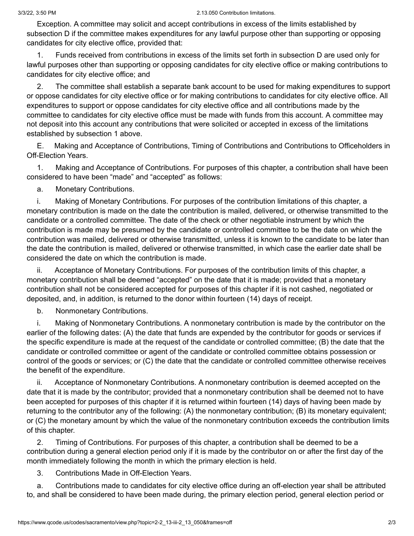Exception. A committee may solicit and accept contributions in excess of the limits established by subsection D if the committee makes expenditures for any lawful purpose other than supporting or opposing candidates for city elective office, provided that:

1. Funds received from contributions in excess of the limits set forth in subsection D are used only for lawful purposes other than supporting or opposing candidates for city elective office or making contributions to candidates for city elective office; and

2. The committee shall establish a separate bank account to be used for making expenditures to support or oppose candidates for city elective office or for making contributions to candidates for city elective office. All expenditures to support or oppose candidates for city elective office and all contributions made by the committee to candidates for city elective office must be made with funds from this account. A committee may not deposit into this account any contributions that were solicited or accepted in excess of the limitations established by subsection 1 above.

E. Making and Acceptance of Contributions, Timing of Contributions and Contributions to Officeholders in Off-Election Years.

1. Making and Acceptance of Contributions. For purposes of this chapter, a contribution shall have been considered to have been "made" and "accepted" as follows:

a. Monetary Contributions.

i. Making of Monetary Contributions. For purposes of the contribution limitations of this chapter, a monetary contribution is made on the date the contribution is mailed, delivered, or otherwise transmitted to the candidate or a controlled committee. The date of the check or other negotiable instrument by which the contribution is made may be presumed by the candidate or controlled committee to be the date on which the contribution was mailed, delivered or otherwise transmitted, unless it is known to the candidate to be later than the date the contribution is mailed, delivered or otherwise transmitted, in which case the earlier date shall be considered the date on which the contribution is made.

ii. Acceptance of Monetary Contributions. For purposes of the contribution limits of this chapter, a monetary contribution shall be deemed "accepted" on the date that it is made; provided that a monetary contribution shall not be considered accepted for purposes of this chapter if it is not cashed, negotiated or deposited, and, in addition, is returned to the donor within fourteen (14) days of receipt.

b. Nonmonetary Contributions.

i. Making of Nonmonetary Contributions. A nonmonetary contribution is made by the contributor on the earlier of the following dates: (A) the date that funds are expended by the contributor for goods or services if the specific expenditure is made at the request of the candidate or controlled committee; (B) the date that the candidate or controlled committee or agent of the candidate or controlled committee obtains possession or control of the goods or services; or (C) the date that the candidate or controlled committee otherwise receives the benefit of the expenditure.

ii. Acceptance of Nonmonetary Contributions. A nonmonetary contribution is deemed accepted on the date that it is made by the contributor; provided that a nonmonetary contribution shall be deemed not to have been accepted for purposes of this chapter if it is returned within fourteen (14) days of having been made by returning to the contributor any of the following: (A) the nonmonetary contribution; (B) its monetary equivalent; or (C) the monetary amount by which the value of the nonmonetary contribution exceeds the contribution limits of this chapter.

2. Timing of Contributions. For purposes of this chapter, a contribution shall be deemed to be a contribution during a general election period only if it is made by the contributor on or after the first day of the month immediately following the month in which the primary election is held.

3. Contributions Made in Off-Election Years.

a. Contributions made to candidates for city elective office during an off-election year shall be attributed to, and shall be considered to have been made during, the primary election period, general election period or